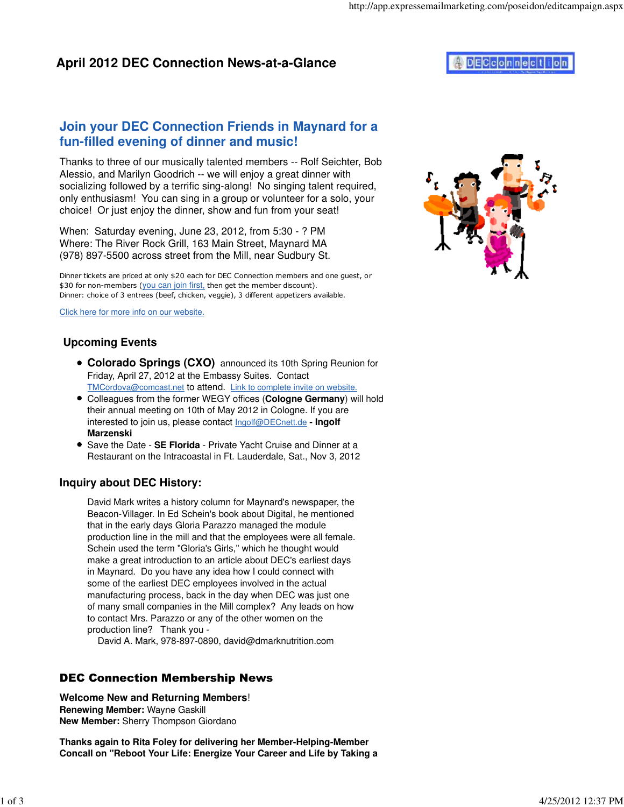## **Join your DEC Connection Friends in Maynard for a fun-filled evening of dinner and music!**

Thanks to three of our musically talented members -- Rolf Seichter, Bob Alessio, and Marilyn Goodrich -- we will enjoy a great dinner with socializing followed by a terrific sing-along! No singing talent required, only enthusiasm! You can sing in a group or volunteer for a solo, your choice! Or just enjoy the dinner, show and fun from your seat!

When: Saturday evening, June 23, 2012, from 5:30 - ? PM Where: The River Rock Grill, 163 Main Street, Maynard MA (978) 897-5500 across street from the Mill, near Sudbury St.

Dinner tickets are priced at only \$20 each for DEC Connection members and one guest, or \$30 for non-members (you can join first, then get the member discount). Dinner: choice of 3 entrees (beef, chicken, veggie), 3 different appetizers available.

Click here for more info on our website.

### **Upcoming Events**

- **Colorado Springs (CXO)** announced its 10th Spring Reunion for Friday, April 27, 2012 at the Embassy Suites. Contact [TMCordova@comcast.net](mailto:TMCordova@comcast.net) to attend. Link to complete invite on website.
- Colleagues from the former WEGY offices (**Cologne Germany**) will hold their annual meeting on 10th of May 2012 in Cologne. If you are interested to join us, please contact [Ingolf@DECnett.de](mailto:Ingolf@DECnett.de) **- Ingolf Marzenski**
- **Save the Date SE Florida Private Yacht Cruise and Dinner at a** Restaurant on the Intracoastal in Ft. Lauderdale, Sat., Nov 3, 2012

### **Inquiry about DEC History:**

David Mark writes a history column for Maynard's newspaper, the Beacon-Villager. In Ed Schein's book about Digital, he mentioned that in the early days Gloria Parazzo managed the module production line in the mill and that the employees were all female. Schein used the term "Gloria's Girls," which he thought would make a great introduction to an article about DEC's earliest days in Maynard. Do you have any idea how I could connect with some of the earliest DEC employees involved in the actual manufacturing process, back in the day when DEC was just one of many small companies in the Mill complex? Any leads on how to contact Mrs. Parazzo or any of the other women on the production line? Thank you -

David A. Mark, 978-897-0890, [david@dmarknutrition.com](mailto:david@dmarknutrition.com)

### DEC Connection Membership News

**Welcome New and Returning Members**! **Renewing Member:** Wayne Gaskill **New Member:** Sherry Thompson Giordano

**Thanks again to Rita Foley for delivering her Member-Helping-Member Concall on "Reboot Your Life: Energize Your Career and Life by Taking a**

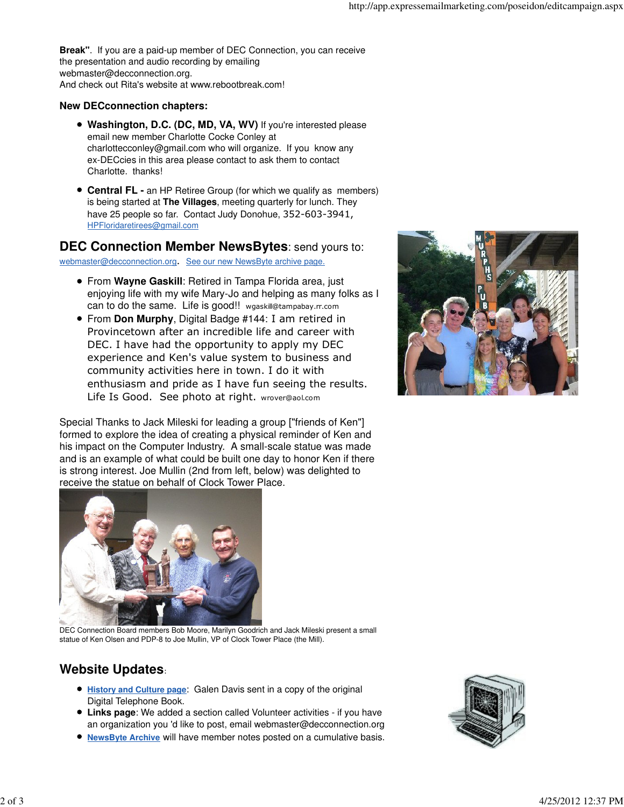**Break"**. If you are a paid-up member of DEC Connection, you can receive the presentation and audio recording by emailing [webmaster@decconnection.org.](mailto:webmaster@decconnection.org) And check out Rita's website at [www.rebootbreak.com!](http://www.rebootbreak.com)

#### **New DECconnection chapters:**

- **Washington, D.C. (DC, MD, VA, WV)** If you're interested please email new member Charlotte Cocke Conley at [charlottecconley@gmail.com wh](mailto:charlottecconley@gmail.com)o will organize. If you know any ex-DECcies in this area please contact to ask them to contact Charlotte. thanks!
- **Central FL -** an HP Retiree Group (for which we qualify as members) is being started at **The Villages**, meeting quarterly for lunch. They have 25 people so far. Contact Judy Donohue, 352-603-3941, [HPFloridaretirees@gmail.com](mailto:HPFloridaretirees@gmail.com)

#### **DEC Connection Member NewsBytes**: send yours to:

[webmaster@decconnection.org](mailto:webmaster@decconnection.org). See our new NewsByte archive page.

- From **Wayne Gaskill**: Retired in Tampa Florida area, just enjoying life with my wife Mary-Jo and helping as many folks as I can to do the same. Life is good!! [wgaskill@tampabay.rr.com](mailto:wgaskill@tampabay.rr.com)
- From **Don Murphy**, Digital Badge #144: I am retired in Provincetown after an incredible life and career with DEC. I have had the opportunity to apply my DEC experience and Ken's value system to business and community activities here in town. I do it with enthusiasm and pride as I have fun seeing the results. Life Is Good. See photo at right. [wrover@aol.com](mailto:wrover@aol.com)

Special Thanks to Jack Mileski for leading a group ["friends of Ken"] formed to explore the idea of creating a physical reminder of Ken and his impact on the Computer Industry. A small-scale statue was made and is an example of what could be built one day to honor Ken if there is strong interest. Joe Mullin (2nd from left, below) was delighted to receive the statue on behalf of Clock Tower Place.





DEC Connection Board members Bob Moore, Marilyn Goodrich and Jack Mileski present a small statue of Ken Olsen and PDP-8 to Joe Mullin, VP of Clock Tower Place (the Mill).

# **Website Updates**:

- **History and Culture page**: Galen Davis sent in a copy of the original Digital Telephone Book.
- **Links page**: We added a section called Volunteer activities if you have an organization you 'd like to post, email [webmaster@decconnection.org](mailto:webmaster@decconnection.org)
- **NewsByte Archive** will have member notes posted on a cumulative basis.